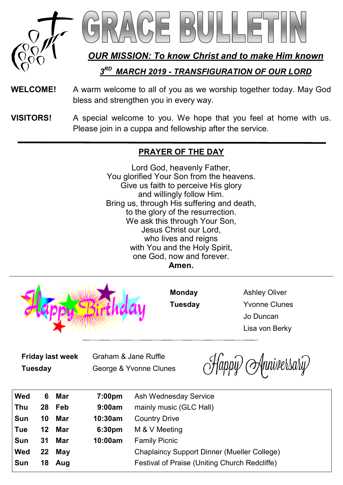

*OUR MISSION: To know Christ and to make Him known*

*3 RD MARCH 2019 - TRANSFIGURATION OF OUR LORD*

- **WELCOME!** A warm welcome to all of you as we worship together today. May God bless and strengthen you in every way.
- **VISITORS!** A special welcome to you. We hope that you feel at home with us. Please join in a cuppa and fellowship after the service.

## **PRAYER OF THE DAY**

Lord God, heavenly Father, You glorified Your Son from the heavens. Give us faith to perceive His glory and willingly follow Him. Bring us, through His suffering and death, to the glory of the resurrection. We ask this through Your Son. Jesus Christ our Lord, who lives and reigns with You and the Holy Spirit, one God, now and forever. **Amen.**



**Monday** Ashley Oliver **Tuesday** Yvonne Clunes Jo Duncan Lisa von Berky

**Friday last week** Graham & Jane Ruffle

**Tuesday** George & Yvonne Clunes

Happy Anniversary

| Wed | 6. | Mar    | 7:00pm             | Ash Wednesday Service                         |
|-----|----|--------|--------------------|-----------------------------------------------|
| Thu |    | 28 Feb | 9:00am             | mainly music (GLC Hall)                       |
| Sun | 10 | Mar    | 10:30am            | <b>Country Drive</b>                          |
| Tue |    | 12 Mar | 6:30 <sub>pm</sub> | M & V Meeting                                 |
| Sun | 31 | Mar    | 10:00am            | <b>Family Picnic</b>                          |
| Wed |    | 22 May |                    | Chaplaincy Support Dinner (Mueller College)   |
| Sun | 18 | Aug    |                    | Festival of Praise (Uniting Church Redcliffe) |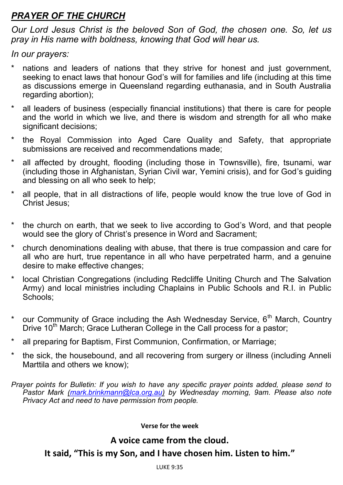# *PRAYER OF THE CHURCH*

*Our Lord Jesus Christ is the beloved Son of God, the chosen one. So, let us pray in His name with boldness, knowing that God will hear us.*

*In our prayers:*

- hations and leaders of nations that they strive for honest and just government, seeking to enact laws that honour God's will for families and life (including at this time as discussions emerge in Queensland regarding euthanasia, and in South Australia regarding abortion):
- all leaders of business (especially financial institutions) that there is care for people and the world in which we live, and there is wisdom and strength for all who make significant decisions;
- the Royal Commission into Aged Care Quality and Safety, that appropriate submissions are received and recommendations made:
- all affected by drought, flooding (including those in Townsville), fire, tsunami, war (including those in Afghanistan, Syrian Civil war, Yemini crisis), and for God's guiding and blessing on all who seek to help;
- all people, that in all distractions of life, people would know the true love of God in Christ Jesus;
- \* the church on earth, that we seek to live according to God's Word, and that people would see the glory of Christ's presence in Word and Sacrament;
- \* church denominations dealing with abuse, that there is true compassion and care for all who are hurt, true repentance in all who have perpetrated harm, and a genuine desire to make effective changes;
- local Christian Congregations (including Redcliffe Uniting Church and The Salvation Army) and local ministries including Chaplains in Public Schools and R.I. in Public Schools;
- \* our Community of Grace including the Ash Wednesday Service.  $6<sup>th</sup>$  March. Countrv Drive  $10^{th}$  March; Grace Lutheran College in the Call process for a pastor;
- \* all preparing for Baptism, First Communion, Confirmation, or Marriage;
- the sick, the housebound, and all recovering from surgery or illness (including Anneli Marttila and others we know);

*Prayer points for Bulletin: If you wish to have any specific prayer points added, please send to Pastor Mark ([mark.brinkmann@lca.org.au\)](mailto:mark.brinkmann@lca.org.au) by Wednesday morning, 9am. Please also note Privacy Act and need to have permission from people.*

#### **Verse for the week**

### **A voice came from the cloud.**

**It said, "This is my Son, and I have chosen him. Listen to him."**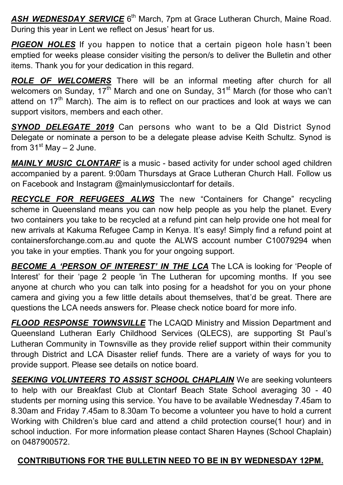ASH WEDNESDAY SERVICE 6<sup>th</sup> March, 7pm at Grace Lutheran Church, Maine Road. During this year in Lent we reflect on Jesus' heart for us.

*PIGEON HOLES* If you happen to notice that a certain pigeon hole hasn't been emptied for weeks please consider visiting the person/s to deliver the Bulletin and other items. Thank you for your dedication in this regard.

*ROLE OF WELCOMERS* There will be an informal meeting after church for all welcomers on Sunday,  $17<sup>th</sup>$  March and one on Sunday,  $31<sup>st</sup>$  March (for those who can't attend on  $17<sup>th</sup>$  March). The aim is to reflect on our practices and look at ways we can support visitors, members and each other.

**SYNOD DELEGATE 2019** Can persons who want to be a Qld District Synod Delegate or nominate a person to be a delegate please advise Keith Schultz. Synod is from  $31<sup>st</sup>$  May  $- 2$  June.

*MAINLY MUSIC CLONTARF* is a music - based activity for under school aged children accompanied by a parent. 9:00am Thursdays at Grace Lutheran Church Hall. Follow us on Facebook and Instagram @mainlymusicclontarf for details.

*RECYCLE FOR REFUGEES ALWS* The new "Containers for Change" recycling scheme in Queensland means you can now help people as you help the planet. Every two containers you take to be recycled at a refund pint can help provide one hot meal for new arrivals at Kakuma Refugee Camp in Kenya. It's easy! Simply find a refund point at containersforchange.com.au and quote the ALWS account number C10079294 when you take in your empties. Thank you for your ongoing support.

*BECOME A 'PERSON OF INTEREST' IN THE LCA* The LCA is looking for 'People of Interest' for their 'page 2 people 'in The Lutheran for upcoming months. If you see anyone at church who you can talk into posing for a headshot for you on your phone camera and giving you a few little details about themselves, that'd be great. There are questions the LCA needs answers for. Please check notice board for more info.

*FLOOD RESPONSE TOWNSVILLE* The LCAQD Ministry and Mission Department and Queensland Lutheran Early Childhood Services (QLECS), are supporting St Paul's Lutheran Community in Townsville as they provide relief support within their community through District and LCA Disaster relief funds. There are a variety of ways for you to provide support. Please see details on notice board.

*SEEKING VOLUNTEERS TO ASSIST SCHOOL CHAPLAIN* We are seeking volunteers to help with our Breakfast Club at Clontarf Beach State School averaging 30 - 40 students per morning using this service. You have to be available Wednesday 7.45am to 8.30am and Friday 7.45am to 8.30am To become a volunteer you have to hold a current Working with Children's blue card and attend a child protection course(1 hour) and in school induction. For more information please contact Sharen Haynes (School Chaplain) on 0487900572.

## **CONTRIBUTIONS FOR THE BULLETIN NEED TO BE IN BY WEDNESDAY 12PM.**